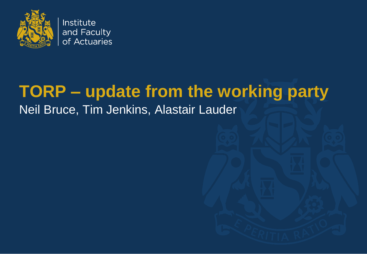

# **TORP – update from the working party** Neil Bruce, Tim Jenkins, Alastair Lauder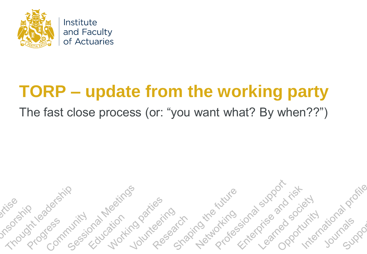

# **TORP – update from the working party**

#### The fast close process (or: "you want what? By when??")

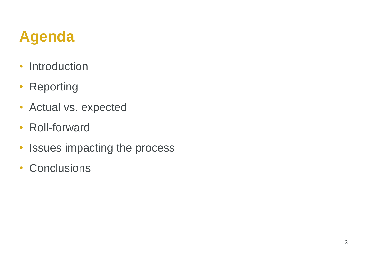## **Agenda**

- Introduction
- Reporting
- Actual vs. expected
- Roll-forward
- Issues impacting the process
- Conclusions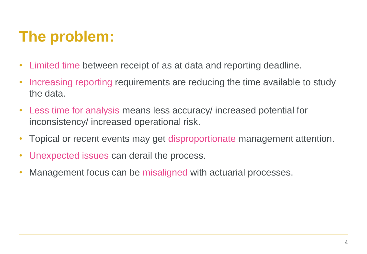## **The problem:**

- Limited time between receipt of as at data and reporting deadline.
- Increasing reporting requirements are reducing the time available to study the data.
- Less time for analysis means less accuracy/ increased potential for inconsistency/ increased operational risk.
- Topical or recent events may get disproportionate management attention.
- Unexpected issues can derail the process.
- Management focus can be misaligned with actuarial processes.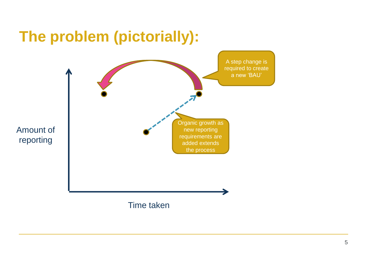#### **The problem (pictorially):**

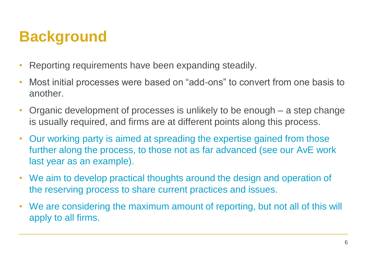#### **Background**

- Reporting requirements have been expanding steadily.
- Most initial processes were based on "add-ons" to convert from one basis to another.
- Organic development of processes is unlikely to be enough a step change is usually required, and firms are at different points along this process.
- Our working party is aimed at spreading the expertise gained from those further along the process, to those not as far advanced (see our AvE work last year as an example).
- We aim to develop practical thoughts around the design and operation of the reserving process to share current practices and issues.
- We are considering the maximum amount of reporting, but not all of this will apply to all firms.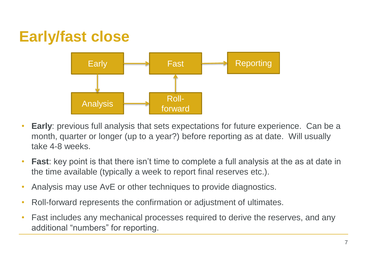#### **Early/fast close**



- **Early**: previous full analysis that sets expectations for future experience. Can be a month, quarter or longer (up to a year?) before reporting as at date. Will usually take 4-8 weeks.
- **Fast**: key point is that there isn't time to complete a full analysis at the as at date in the time available (typically a week to report final reserves etc.).
- Analysis may use AvE or other techniques to provide diagnostics.
- Roll-forward represents the confirmation or adjustment of ultimates.
- Fast includes any mechanical processes required to derive the reserves, and any additional "numbers" for reporting.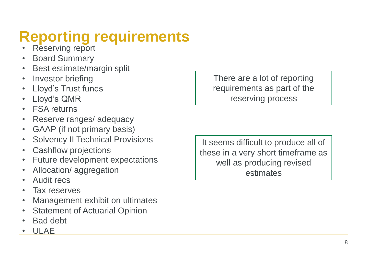# **Reporting requirements**

- **Reserving report**
- Board Summary
- Best estimate/margin split
- Investor briefing
- Lloyd's Trust funds
- Lloyd's QMR
- **FSA returns**
- Reserve ranges/ adequacy
- GAAP (if not primary basis)
- Solvency II Technical Provisions
- Cashflow projections
- Future development expectations
- Allocation/ aggregation
- Audit recs
- Tax reserves
- Management exhibit on ultimates
- **Statement of Actuarial Opinion**
- Bad debt
- ULA<sub>E</sub>

There are a lot of reporting requirements as part of the reserving process

It seems difficult to produce all of these in a very short timeframe as well as producing revised estimates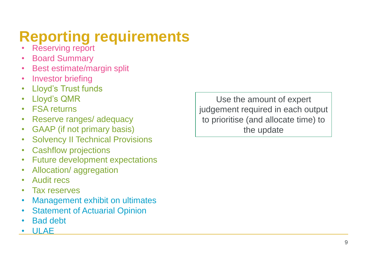# **Reporting requirements**

- **Reserving report**
- Board Summary
- Best estimate/margin split
- Investor briefing
- Lloyd's Trust funds
- Lloyd's QMR
- **FSA returns**
- Reserve ranges/ adequacy
- GAAP (if not primary basis)
- Solvency II Technical Provisions
- Cashflow projections
- Future development expectations
- Allocation/ aggregation
- Audit recs
- Tax reserves
- Management exhibit on ultimates
- **Statement of Actuarial Opinion**
- Bad debt
- ULAE

Use the amount of expert judgement required in each output to prioritise (and allocate time) to the update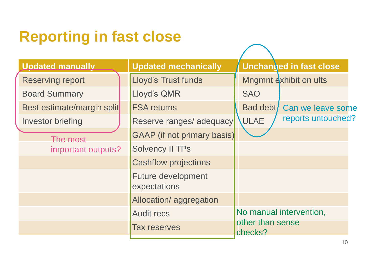#### **Reporting in fast close**

| <b>Unchanged in fast close</b><br><b>Undated manually</b><br><b>Updated mechanically</b><br>Lloyd's Trust funds<br>Mngmnt exhibit on ults<br><b>Reserving report</b><br>Lloyd's QMR<br><b>SAO</b><br><b>Board Summary</b> |  |
|---------------------------------------------------------------------------------------------------------------------------------------------------------------------------------------------------------------------------|--|
|                                                                                                                                                                                                                           |  |
|                                                                                                                                                                                                                           |  |
|                                                                                                                                                                                                                           |  |
| Best estimate/margin split<br><b>FSA returns</b><br>Bad debt/<br>Can we leave some                                                                                                                                        |  |
| reports untouched?<br><b>ULAE</b><br>Reserve ranges/ adequacy<br>Investor briefing                                                                                                                                        |  |
| <b>GAAP</b> (if not primary basis)<br>The most                                                                                                                                                                            |  |
| <b>Solvency II TPs</b><br>important outputs?                                                                                                                                                                              |  |
| <b>Cashflow projections</b>                                                                                                                                                                                               |  |
| <b>Future development</b><br>expectations                                                                                                                                                                                 |  |
| Allocation/aggregation                                                                                                                                                                                                    |  |
| No manual intervention,<br><b>Audit recs</b>                                                                                                                                                                              |  |
| other than sense<br><b>Tax reserves</b><br>checks?                                                                                                                                                                        |  |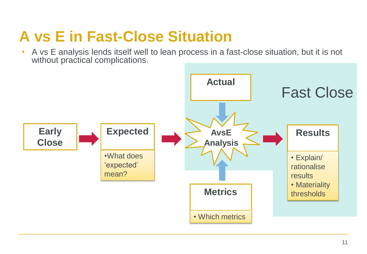#### **A vs E in Fast-Close Situation**

• A vs E analysis lends itself well to lean process in a fast-close situation, but it is not without practical complications.

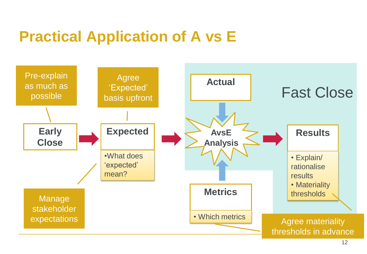#### **Practical Application of A vs E**

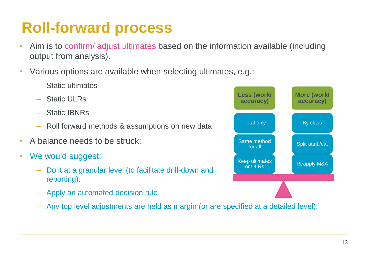#### **Roll-forward process**

- Aim is to confirm/ adjust ultimates based on the information available (including output from analysis).
- Various options are available when selecting ultimates, e.g.:
	- Static ultimates
	- Static ULRs
	- Static IBNRs
	- Roll forward methods & assumptions on new data
- A balance needs to be struck:
- We would suggest:
	- Do it at a granular level (to facilitate drill-down and reporting).
	- Apply an automated decision rule
	- Any top level adjustments are held as margin (or are specified at a detailed level).

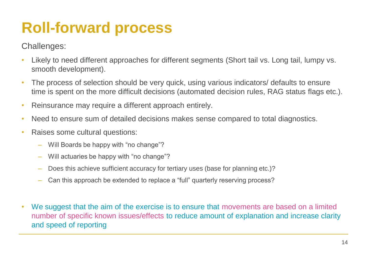#### **Roll-forward process**

#### Challenges:

- Likely to need different approaches for different segments (Short tail vs. Long tail, lumpy vs. smooth development).
- The process of selection should be very quick, using various indicators/ defaults to ensure time is spent on the more difficult decisions (automated decision rules, RAG status flags etc.).
- Reinsurance may require a different approach entirely.
- Need to ensure sum of detailed decisions makes sense compared to total diagnostics.
- Raises some cultural questions:
	- Will Boards be happy with "no change"?
	- Will actuaries be happy with "no change"?
	- Does this achieve sufficient accuracy for tertiary uses (base for planning etc.)?
	- Can this approach be extended to replace a "full" quarterly reserving process?
- We suggest that the aim of the exercise is to ensure that movements are based on a limited number of specific known issues/effects to reduce amount of explanation and increase clarity and speed of reporting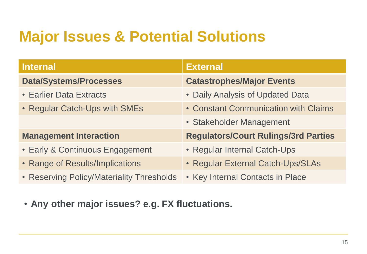#### **Major Issues & Potential Solutions**

| <b>Internal</b>                           | <b>External</b>                             |
|-------------------------------------------|---------------------------------------------|
| <b>Data/Systems/Processes</b>             | <b>Catastrophes/Major Events</b>            |
| <b>• Earlier Data Extracts</b>            | • Daily Analysis of Updated Data            |
| • Regular Catch-Ups with SMEs             | • Constant Communication with Claims        |
|                                           | • Stakeholder Management                    |
| <b>Management Interaction</b>             | <b>Regulators/Court Rulings/3rd Parties</b> |
| • Early & Continuous Engagement           | • Regular Internal Catch-Ups                |
| • Range of Results/Implications           | • Regular External Catch-Ups/SLAs           |
| • Reserving Policy/Materiality Thresholds | • Key Internal Contacts in Place            |

• **Any other major issues? e.g. FX fluctuations.**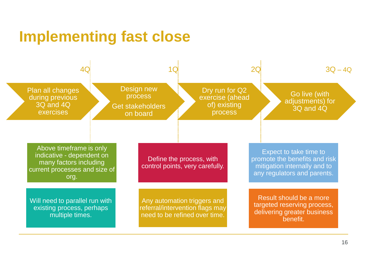#### **Implementing fast close**

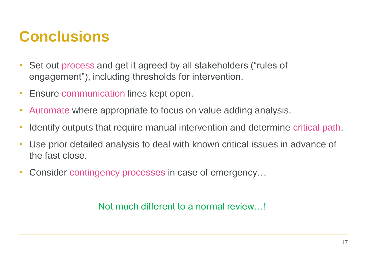#### **Conclusions**

- Set out process and get it agreed by all stakeholders ("rules of engagement"), including thresholds for intervention.
- Ensure communication lines kept open.
- Automate where appropriate to focus on value adding analysis.
- Identify outputs that require manual intervention and determine critical path.
- Use prior detailed analysis to deal with known critical issues in advance of the fast close.
- Consider contingency processes in case of emergency…

Not much different to a normal review…!